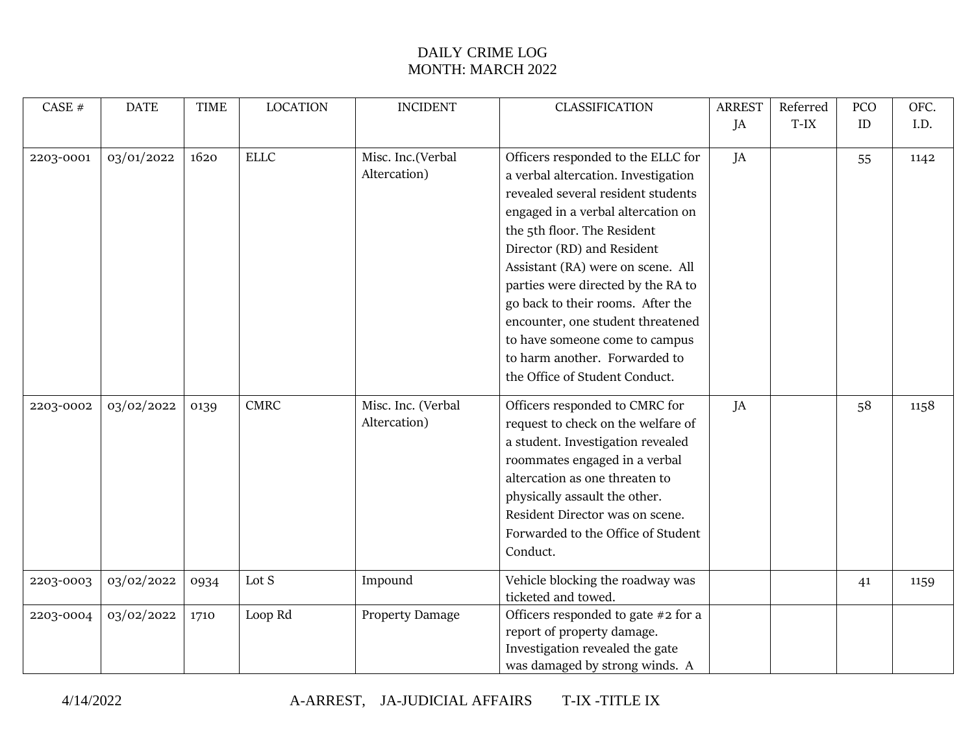| CASE #    | <b>DATE</b> | <b>TIME</b> | <b>LOCATION</b> | <b>INCIDENT</b>    | <b>CLASSIFICATION</b>               | <b>ARREST</b> | Referred | PCO | OFC. |
|-----------|-------------|-------------|-----------------|--------------------|-------------------------------------|---------------|----------|-----|------|
|           |             |             |                 |                    |                                     | JA            | $T-IX$   | ID  | I.D. |
|           |             |             |                 |                    |                                     |               |          |     |      |
| 2203-0001 | 03/01/2022  | 1620        | <b>ELLC</b>     | Misc. Inc.(Verbal  | Officers responded to the ELLC for  | JA            |          | 55  | 1142 |
|           |             |             |                 | Altercation)       | a verbal altercation. Investigation |               |          |     |      |
|           |             |             |                 |                    | revealed several resident students  |               |          |     |      |
|           |             |             |                 |                    | engaged in a verbal altercation on  |               |          |     |      |
|           |             |             |                 |                    | the 5th floor. The Resident         |               |          |     |      |
|           |             |             |                 |                    | Director (RD) and Resident          |               |          |     |      |
|           |             |             |                 |                    | Assistant (RA) were on scene. All   |               |          |     |      |
|           |             |             |                 |                    | parties were directed by the RA to  |               |          |     |      |
|           |             |             |                 |                    | go back to their rooms. After the   |               |          |     |      |
|           |             |             |                 |                    | encounter, one student threatened   |               |          |     |      |
|           |             |             |                 |                    | to have someone come to campus      |               |          |     |      |
|           |             |             |                 |                    | to harm another. Forwarded to       |               |          |     |      |
|           |             |             |                 |                    | the Office of Student Conduct.      |               |          |     |      |
| 2203-0002 | 03/02/2022  | 0139        | <b>CMRC</b>     | Misc. Inc. (Verbal | Officers responded to CMRC for      | JA            |          | 58  | 1158 |
|           |             |             |                 | Altercation)       | request to check on the welfare of  |               |          |     |      |
|           |             |             |                 |                    | a student. Investigation revealed   |               |          |     |      |
|           |             |             |                 |                    | roommates engaged in a verbal       |               |          |     |      |
|           |             |             |                 |                    | altercation as one threaten to      |               |          |     |      |
|           |             |             |                 |                    | physically assault the other.       |               |          |     |      |
|           |             |             |                 |                    | Resident Director was on scene.     |               |          |     |      |
|           |             |             |                 |                    | Forwarded to the Office of Student  |               |          |     |      |
|           |             |             |                 |                    |                                     |               |          |     |      |
|           |             |             |                 |                    | Conduct.                            |               |          |     |      |
| 2203-0003 | 03/02/2022  | 0934        | Lot S           | Impound            | Vehicle blocking the roadway was    |               |          | 41  | 1159 |
|           |             |             |                 |                    | ticketed and towed.                 |               |          |     |      |
| 2203-0004 | 03/02/2022  | 1710        | Loop Rd         | Property Damage    | Officers responded to gate #2 for a |               |          |     |      |
|           |             |             |                 |                    | report of property damage.          |               |          |     |      |
|           |             |             |                 |                    | Investigation revealed the gate     |               |          |     |      |
|           |             |             |                 |                    | was damaged by strong winds. A      |               |          |     |      |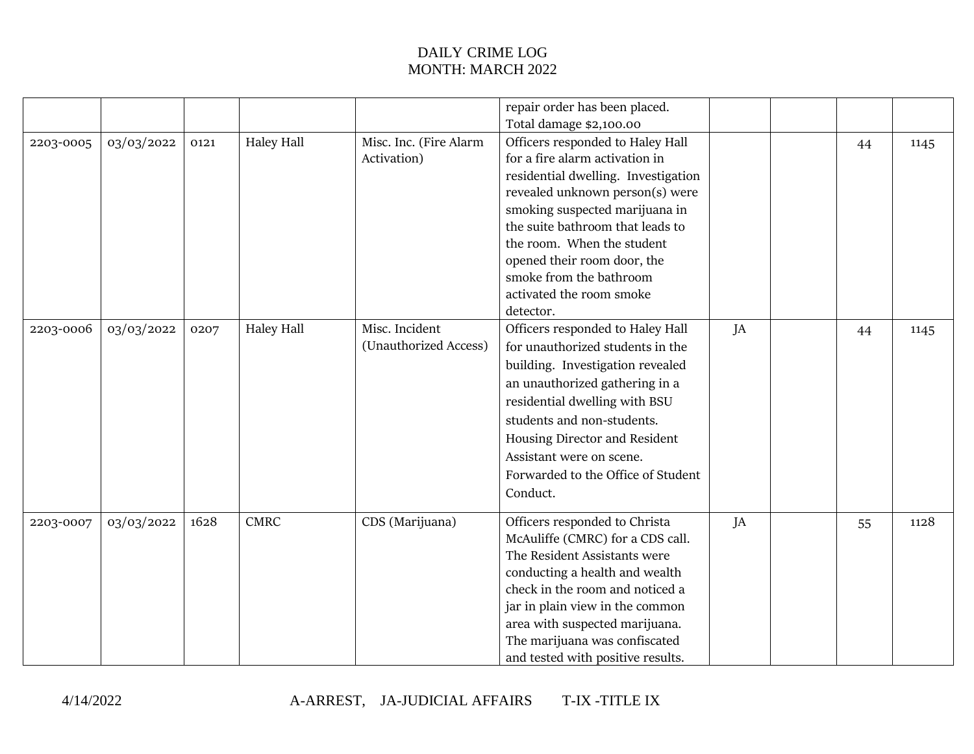|           |            |      |                   |                        | repair order has been placed.       |    |    |      |
|-----------|------------|------|-------------------|------------------------|-------------------------------------|----|----|------|
|           |            |      |                   |                        | Total damage \$2,100.00             |    |    |      |
| 2203-0005 | 03/03/2022 | 0121 | <b>Haley Hall</b> | Misc. Inc. (Fire Alarm | Officers responded to Haley Hall    |    | 44 | 1145 |
|           |            |      |                   | Activation)            | for a fire alarm activation in      |    |    |      |
|           |            |      |                   |                        | residential dwelling. Investigation |    |    |      |
|           |            |      |                   |                        | revealed unknown person(s) were     |    |    |      |
|           |            |      |                   |                        | smoking suspected marijuana in      |    |    |      |
|           |            |      |                   |                        | the suite bathroom that leads to    |    |    |      |
|           |            |      |                   |                        | the room. When the student          |    |    |      |
|           |            |      |                   |                        | opened their room door, the         |    |    |      |
|           |            |      |                   |                        | smoke from the bathroom             |    |    |      |
|           |            |      |                   |                        | activated the room smoke            |    |    |      |
|           |            |      |                   |                        | detector.                           |    |    |      |
| 2203-0006 | 03/03/2022 | 0207 | <b>Haley Hall</b> | Misc. Incident         | Officers responded to Haley Hall    | JA | 44 | 1145 |
|           |            |      |                   | (Unauthorized Access)  | for unauthorized students in the    |    |    |      |
|           |            |      |                   |                        | building. Investigation revealed    |    |    |      |
|           |            |      |                   |                        | an unauthorized gathering in a      |    |    |      |
|           |            |      |                   |                        | residential dwelling with BSU       |    |    |      |
|           |            |      |                   |                        | students and non-students.          |    |    |      |
|           |            |      |                   |                        | Housing Director and Resident       |    |    |      |
|           |            |      |                   |                        | Assistant were on scene.            |    |    |      |
|           |            |      |                   |                        | Forwarded to the Office of Student  |    |    |      |
|           |            |      |                   |                        | Conduct.                            |    |    |      |
|           |            |      |                   |                        |                                     |    |    |      |
| 2203-0007 | 03/03/2022 | 1628 | <b>CMRC</b>       | CDS (Marijuana)        | Officers responded to Christa       | JA | 55 | 1128 |
|           |            |      |                   |                        | McAuliffe (CMRC) for a CDS call.    |    |    |      |
|           |            |      |                   |                        | The Resident Assistants were        |    |    |      |
|           |            |      |                   |                        | conducting a health and wealth      |    |    |      |
|           |            |      |                   |                        | check in the room and noticed a     |    |    |      |
|           |            |      |                   |                        | jar in plain view in the common     |    |    |      |
|           |            |      |                   |                        | area with suspected marijuana.      |    |    |      |
|           |            |      |                   |                        | The marijuana was confiscated       |    |    |      |
|           |            |      |                   |                        | and tested with positive results.   |    |    |      |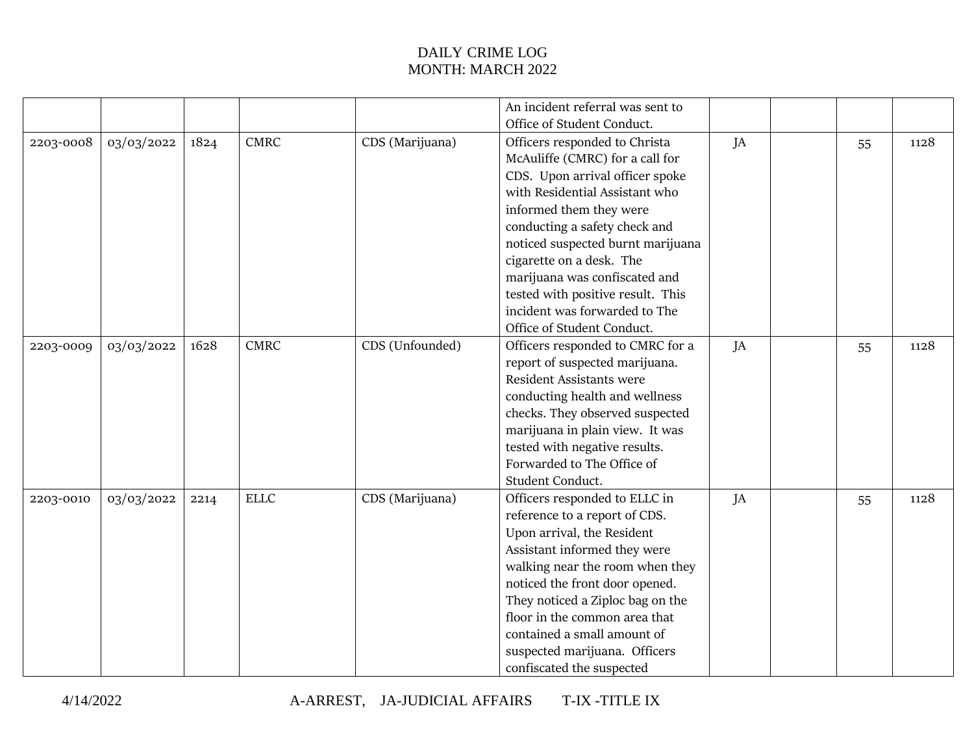|           |            |      |             |                 | An incident referral was sent to  |    |    |      |
|-----------|------------|------|-------------|-----------------|-----------------------------------|----|----|------|
|           |            |      |             |                 | Office of Student Conduct.        |    |    |      |
| 2203-0008 | 03/03/2022 | 1824 | <b>CMRC</b> | CDS (Marijuana) | Officers responded to Christa     | JA | 55 | 1128 |
|           |            |      |             |                 | McAuliffe (CMRC) for a call for   |    |    |      |
|           |            |      |             |                 | CDS. Upon arrival officer spoke   |    |    |      |
|           |            |      |             |                 | with Residential Assistant who    |    |    |      |
|           |            |      |             |                 | informed them they were           |    |    |      |
|           |            |      |             |                 | conducting a safety check and     |    |    |      |
|           |            |      |             |                 | noticed suspected burnt marijuana |    |    |      |
|           |            |      |             |                 | cigarette on a desk. The          |    |    |      |
|           |            |      |             |                 | marijuana was confiscated and     |    |    |      |
|           |            |      |             |                 | tested with positive result. This |    |    |      |
|           |            |      |             |                 | incident was forwarded to The     |    |    |      |
|           |            |      |             |                 | Office of Student Conduct.        |    |    |      |
| 2203-0009 | 03/03/2022 | 1628 | <b>CMRC</b> | CDS (Unfounded) | Officers responded to CMRC for a  | JA | 55 | 1128 |
|           |            |      |             |                 | report of suspected marijuana.    |    |    |      |
|           |            |      |             |                 | Resident Assistants were          |    |    |      |
|           |            |      |             |                 | conducting health and wellness    |    |    |      |
|           |            |      |             |                 | checks. They observed suspected   |    |    |      |
|           |            |      |             |                 | marijuana in plain view. It was   |    |    |      |
|           |            |      |             |                 | tested with negative results.     |    |    |      |
|           |            |      |             |                 | Forwarded to The Office of        |    |    |      |
|           |            |      |             |                 | Student Conduct.                  |    |    |      |
| 2203-0010 | 03/03/2022 | 2214 | <b>ELLC</b> | CDS (Marijuana) | Officers responded to ELLC in     | JA | 55 | 1128 |
|           |            |      |             |                 | reference to a report of CDS.     |    |    |      |
|           |            |      |             |                 | Upon arrival, the Resident        |    |    |      |
|           |            |      |             |                 | Assistant informed they were      |    |    |      |
|           |            |      |             |                 | walking near the room when they   |    |    |      |
|           |            |      |             |                 | noticed the front door opened.    |    |    |      |
|           |            |      |             |                 | They noticed a Ziploc bag on the  |    |    |      |
|           |            |      |             |                 | floor in the common area that     |    |    |      |
|           |            |      |             |                 | contained a small amount of       |    |    |      |
|           |            |      |             |                 | suspected marijuana. Officers     |    |    |      |
|           |            |      |             |                 | confiscated the suspected         |    |    |      |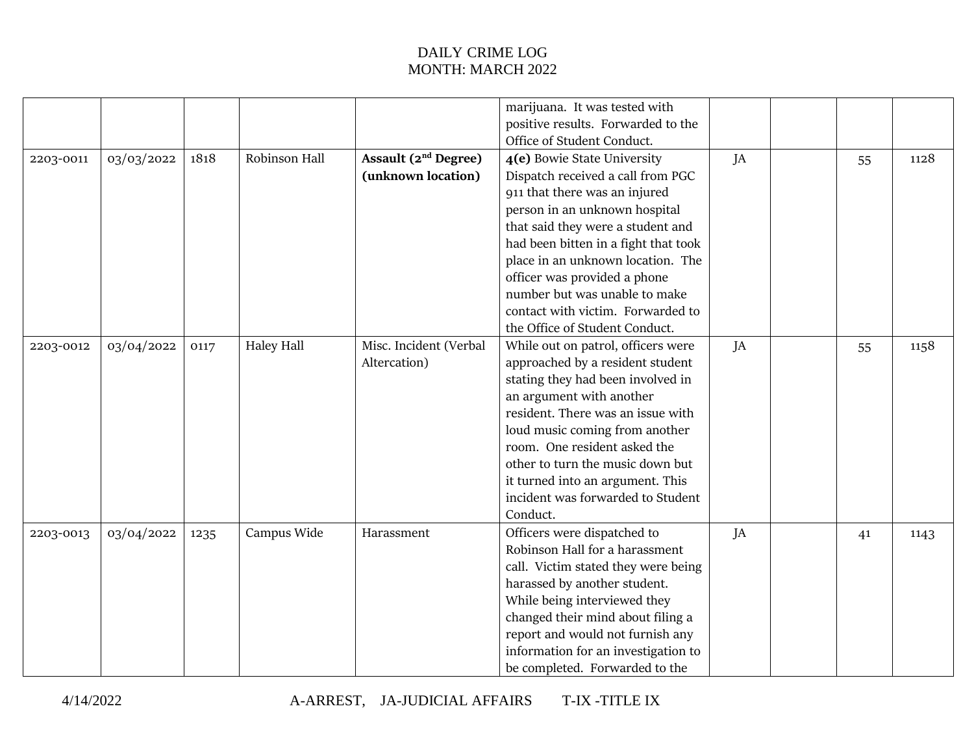|           |            |      |                   |                                  | marijuana. It was tested with        |    |    |      |
|-----------|------------|------|-------------------|----------------------------------|--------------------------------------|----|----|------|
|           |            |      |                   |                                  | positive results. Forwarded to the   |    |    |      |
|           |            |      |                   |                                  | Office of Student Conduct.           |    |    |      |
| 2203-0011 | 03/03/2022 | 1818 | Robinson Hall     | Assault (2 <sup>nd</sup> Degree) | 4(e) Bowie State University          | JA | 55 | 1128 |
|           |            |      |                   | (unknown location)               | Dispatch received a call from PGC    |    |    |      |
|           |            |      |                   |                                  | 911 that there was an injured        |    |    |      |
|           |            |      |                   |                                  | person in an unknown hospital        |    |    |      |
|           |            |      |                   |                                  | that said they were a student and    |    |    |      |
|           |            |      |                   |                                  | had been bitten in a fight that took |    |    |      |
|           |            |      |                   |                                  | place in an unknown location. The    |    |    |      |
|           |            |      |                   |                                  | officer was provided a phone         |    |    |      |
|           |            |      |                   |                                  | number but was unable to make        |    |    |      |
|           |            |      |                   |                                  | contact with victim. Forwarded to    |    |    |      |
|           |            |      |                   |                                  | the Office of Student Conduct.       |    |    |      |
| 2203-0012 | 03/04/2022 | 0117 | <b>Haley Hall</b> | Misc. Incident (Verbal           | While out on patrol, officers were   | JA | 55 | 1158 |
|           |            |      |                   | Altercation)                     | approached by a resident student     |    |    |      |
|           |            |      |                   |                                  | stating they had been involved in    |    |    |      |
|           |            |      |                   |                                  | an argument with another             |    |    |      |
|           |            |      |                   |                                  | resident. There was an issue with    |    |    |      |
|           |            |      |                   |                                  | loud music coming from another       |    |    |      |
|           |            |      |                   |                                  | room. One resident asked the         |    |    |      |
|           |            |      |                   |                                  | other to turn the music down but     |    |    |      |
|           |            |      |                   |                                  | it turned into an argument. This     |    |    |      |
|           |            |      |                   |                                  | incident was forwarded to Student    |    |    |      |
|           |            |      |                   |                                  | Conduct.                             |    |    |      |
| 2203-0013 | 03/04/2022 | 1235 | Campus Wide       | Harassment                       | Officers were dispatched to          | JA | 41 | 1143 |
|           |            |      |                   |                                  | Robinson Hall for a harassment       |    |    |      |
|           |            |      |                   |                                  | call. Victim stated they were being  |    |    |      |
|           |            |      |                   |                                  | harassed by another student.         |    |    |      |
|           |            |      |                   |                                  | While being interviewed they         |    |    |      |
|           |            |      |                   |                                  | changed their mind about filing a    |    |    |      |
|           |            |      |                   |                                  | report and would not furnish any     |    |    |      |
|           |            |      |                   |                                  | information for an investigation to  |    |    |      |
|           |            |      |                   |                                  | be completed. Forwarded to the       |    |    |      |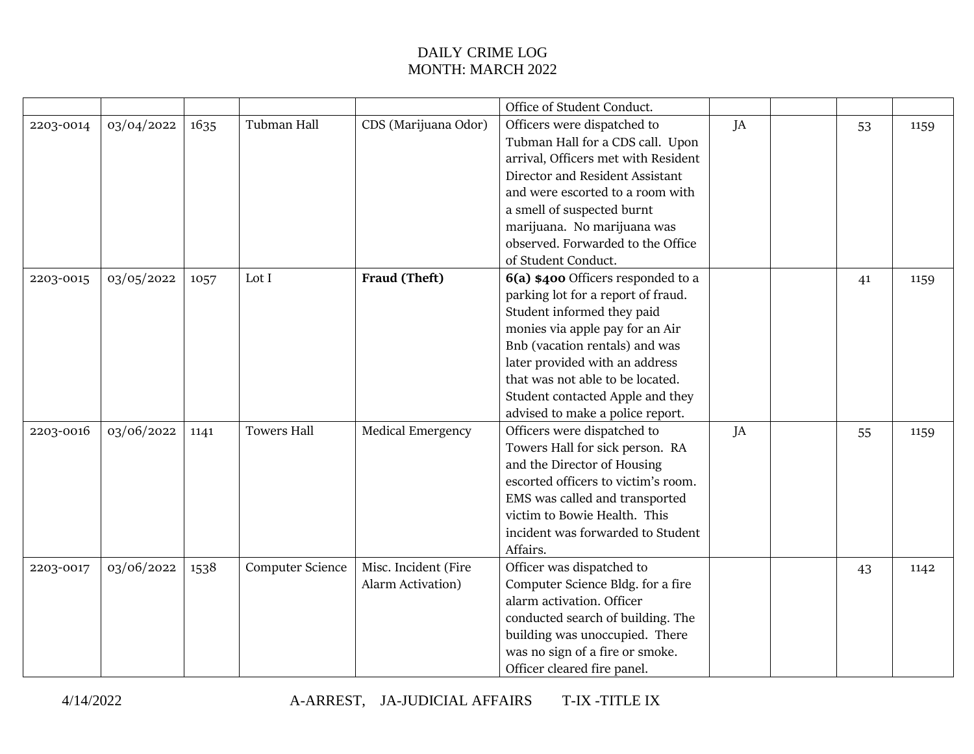|           |            |      |                    |                          | Office of Student Conduct.          |    |    |      |
|-----------|------------|------|--------------------|--------------------------|-------------------------------------|----|----|------|
| 2203-0014 | 03/04/2022 | 1635 | Tubman Hall        | CDS (Marijuana Odor)     | Officers were dispatched to         | JA | 53 | 1159 |
|           |            |      |                    |                          | Tubman Hall for a CDS call. Upon    |    |    |      |
|           |            |      |                    |                          | arrival, Officers met with Resident |    |    |      |
|           |            |      |                    |                          | Director and Resident Assistant     |    |    |      |
|           |            |      |                    |                          | and were escorted to a room with    |    |    |      |
|           |            |      |                    |                          | a smell of suspected burnt          |    |    |      |
|           |            |      |                    |                          | marijuana. No marijuana was         |    |    |      |
|           |            |      |                    |                          | observed. Forwarded to the Office   |    |    |      |
|           |            |      |                    |                          | of Student Conduct.                 |    |    |      |
| 2203-0015 | 03/05/2022 | 1057 | Lot I              | Fraud (Theft)            | 6(a) \$400 Officers responded to a  |    | 41 | 1159 |
|           |            |      |                    |                          | parking lot for a report of fraud.  |    |    |      |
|           |            |      |                    |                          | Student informed they paid          |    |    |      |
|           |            |      |                    |                          | monies via apple pay for an Air     |    |    |      |
|           |            |      |                    |                          | Bnb (vacation rentals) and was      |    |    |      |
|           |            |      |                    |                          | later provided with an address      |    |    |      |
|           |            |      |                    |                          | that was not able to be located.    |    |    |      |
|           |            |      |                    |                          | Student contacted Apple and they    |    |    |      |
|           |            |      |                    |                          | advised to make a police report.    |    |    |      |
| 2203-0016 | 03/06/2022 | 1141 | <b>Towers Hall</b> | <b>Medical Emergency</b> | Officers were dispatched to         | JA | 55 | 1159 |
|           |            |      |                    |                          | Towers Hall for sick person. RA     |    |    |      |
|           |            |      |                    |                          | and the Director of Housing         |    |    |      |
|           |            |      |                    |                          | escorted officers to victim's room. |    |    |      |
|           |            |      |                    |                          | EMS was called and transported      |    |    |      |
|           |            |      |                    |                          | victim to Bowie Health. This        |    |    |      |
|           |            |      |                    |                          | incident was forwarded to Student   |    |    |      |
|           |            |      |                    |                          | Affairs.                            |    |    |      |
| 2203-0017 | 03/06/2022 | 1538 | Computer Science   | Misc. Incident (Fire     | Officer was dispatched to           |    | 43 | 1142 |
|           |            |      |                    | Alarm Activation)        | Computer Science Bldg. for a fire   |    |    |      |
|           |            |      |                    |                          | alarm activation. Officer           |    |    |      |
|           |            |      |                    |                          | conducted search of building. The   |    |    |      |
|           |            |      |                    |                          | building was unoccupied. There      |    |    |      |
|           |            |      |                    |                          | was no sign of a fire or smoke.     |    |    |      |
|           |            |      |                    |                          | Officer cleared fire panel.         |    |    |      |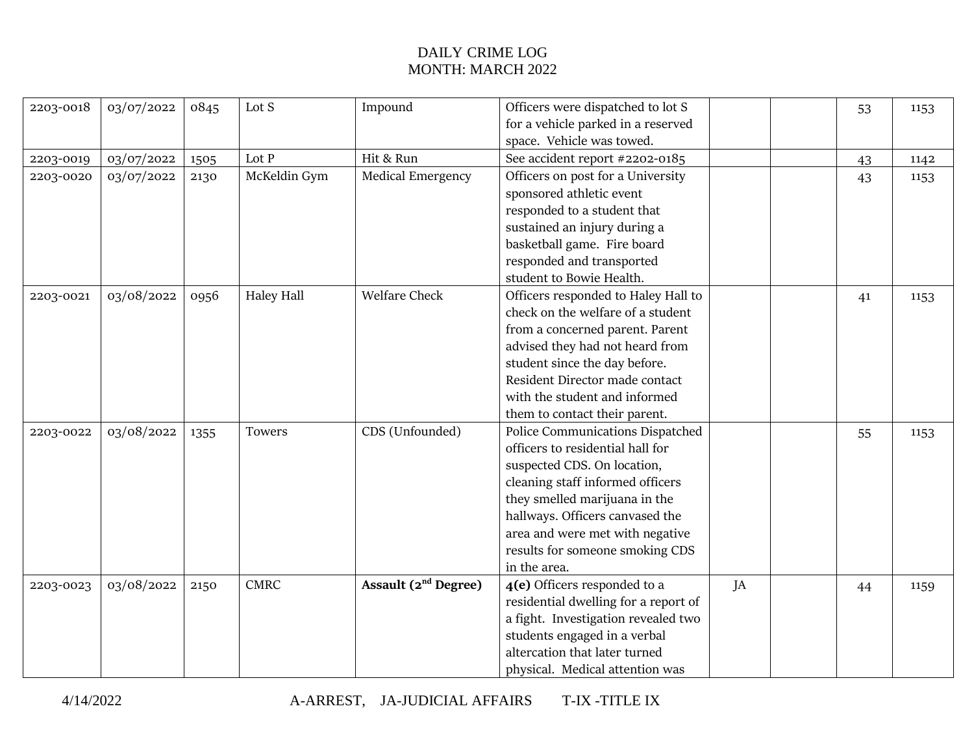| 2203-0018 | 03/07/2022 | 0845 | Lot S             | Impound                  | Officers were dispatched to lot S    |    | 53 | 1153 |
|-----------|------------|------|-------------------|--------------------------|--------------------------------------|----|----|------|
|           |            |      |                   |                          | for a vehicle parked in a reserved   |    |    |      |
|           |            |      |                   |                          | space. Vehicle was towed.            |    |    |      |
| 2203-0019 | 03/07/2022 | 1505 | Lot P             | Hit & Run                | See accident report #2202-0185       |    | 43 | 1142 |
| 2203-0020 | 03/07/2022 | 2130 | McKeldin Gym      | <b>Medical Emergency</b> | Officers on post for a University    |    | 43 | 1153 |
|           |            |      |                   |                          | sponsored athletic event             |    |    |      |
|           |            |      |                   |                          | responded to a student that          |    |    |      |
|           |            |      |                   |                          | sustained an injury during a         |    |    |      |
|           |            |      |                   |                          | basketball game. Fire board          |    |    |      |
|           |            |      |                   |                          | responded and transported            |    |    |      |
|           |            |      |                   |                          | student to Bowie Health.             |    |    |      |
| 2203-0021 | 03/08/2022 | 0956 | <b>Haley Hall</b> | <b>Welfare Check</b>     | Officers responded to Haley Hall to  |    | 41 | 1153 |
|           |            |      |                   |                          | check on the welfare of a student    |    |    |      |
|           |            |      |                   |                          | from a concerned parent. Parent      |    |    |      |
|           |            |      |                   |                          | advised they had not heard from      |    |    |      |
|           |            |      |                   |                          | student since the day before.        |    |    |      |
|           |            |      |                   |                          | Resident Director made contact       |    |    |      |
|           |            |      |                   |                          | with the student and informed        |    |    |      |
|           |            |      |                   |                          | them to contact their parent.        |    |    |      |
| 2203-0022 | 03/08/2022 | 1355 | Towers            | CDS (Unfounded)          | Police Communications Dispatched     |    | 55 | 1153 |
|           |            |      |                   |                          | officers to residential hall for     |    |    |      |
|           |            |      |                   |                          | suspected CDS. On location,          |    |    |      |
|           |            |      |                   |                          | cleaning staff informed officers     |    |    |      |
|           |            |      |                   |                          | they smelled marijuana in the        |    |    |      |
|           |            |      |                   |                          | hallways. Officers canvased the      |    |    |      |
|           |            |      |                   |                          | area and were met with negative      |    |    |      |
|           |            |      |                   |                          | results for someone smoking CDS      |    |    |      |
|           |            |      |                   |                          | in the area.                         |    |    |      |
| 2203-0023 | 03/08/2022 | 2150 | <b>CMRC</b>       | Assault $(2nd$ Degree)   | 4(e) Officers responded to a         | JA | 44 | 1159 |
|           |            |      |                   |                          | residential dwelling for a report of |    |    |      |
|           |            |      |                   |                          | a fight. Investigation revealed two  |    |    |      |
|           |            |      |                   |                          | students engaged in a verbal         |    |    |      |
|           |            |      |                   |                          | altercation that later turned        |    |    |      |
|           |            |      |                   |                          | physical. Medical attention was      |    |    |      |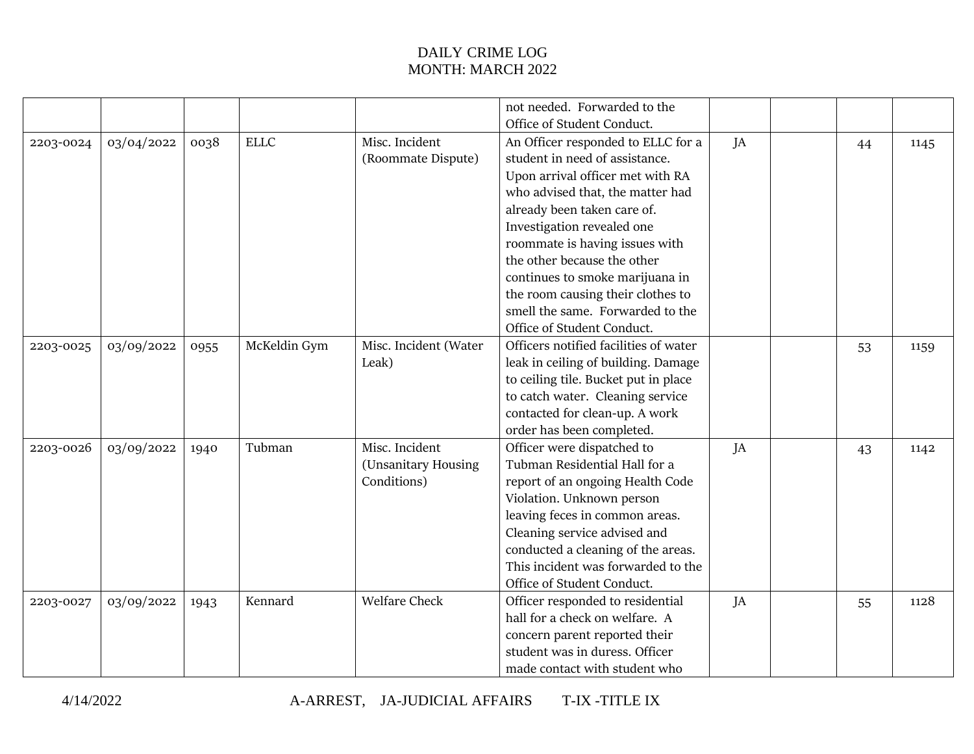|           |            |      |              |                       | not needed. Forwarded to the          |    |    |      |
|-----------|------------|------|--------------|-----------------------|---------------------------------------|----|----|------|
|           |            |      |              |                       | Office of Student Conduct.            |    |    |      |
| 2203-0024 | 03/04/2022 | 0038 | <b>ELLC</b>  | Misc. Incident        | An Officer responded to ELLC for a    | JA | 44 | 1145 |
|           |            |      |              | (Roommate Dispute)    | student in need of assistance.        |    |    |      |
|           |            |      |              |                       | Upon arrival officer met with RA      |    |    |      |
|           |            |      |              |                       | who advised that, the matter had      |    |    |      |
|           |            |      |              |                       | already been taken care of.           |    |    |      |
|           |            |      |              |                       | Investigation revealed one            |    |    |      |
|           |            |      |              |                       | roommate is having issues with        |    |    |      |
|           |            |      |              |                       | the other because the other           |    |    |      |
|           |            |      |              |                       | continues to smoke marijuana in       |    |    |      |
|           |            |      |              |                       | the room causing their clothes to     |    |    |      |
|           |            |      |              |                       | smell the same. Forwarded to the      |    |    |      |
|           |            |      |              |                       | Office of Student Conduct.            |    |    |      |
| 2203-0025 | 03/09/2022 | 0955 | McKeldin Gym | Misc. Incident (Water | Officers notified facilities of water |    | 53 | 1159 |
|           |            |      |              | Leak)                 | leak in ceiling of building. Damage   |    |    |      |
|           |            |      |              |                       | to ceiling tile. Bucket put in place  |    |    |      |
|           |            |      |              |                       | to catch water. Cleaning service      |    |    |      |
|           |            |      |              |                       | contacted for clean-up. A work        |    |    |      |
|           |            |      |              |                       | order has been completed.             |    |    |      |
| 2203-0026 | 03/09/2022 | 1940 | Tubman       | Misc. Incident        | Officer were dispatched to            | JA | 43 | 1142 |
|           |            |      |              | (Unsanitary Housing   | Tubman Residential Hall for a         |    |    |      |
|           |            |      |              | Conditions)           | report of an ongoing Health Code      |    |    |      |
|           |            |      |              |                       | Violation. Unknown person             |    |    |      |
|           |            |      |              |                       | leaving feces in common areas.        |    |    |      |
|           |            |      |              |                       | Cleaning service advised and          |    |    |      |
|           |            |      |              |                       | conducted a cleaning of the areas.    |    |    |      |
|           |            |      |              |                       | This incident was forwarded to the    |    |    |      |
|           |            |      |              |                       | Office of Student Conduct.            |    |    |      |
| 2203-0027 | 03/09/2022 | 1943 | Kennard      | <b>Welfare Check</b>  | Officer responded to residential      | JA | 55 | 1128 |
|           |            |      |              |                       | hall for a check on welfare. A        |    |    |      |
|           |            |      |              |                       | concern parent reported their         |    |    |      |
|           |            |      |              |                       | student was in duress. Officer        |    |    |      |
|           |            |      |              |                       | made contact with student who         |    |    |      |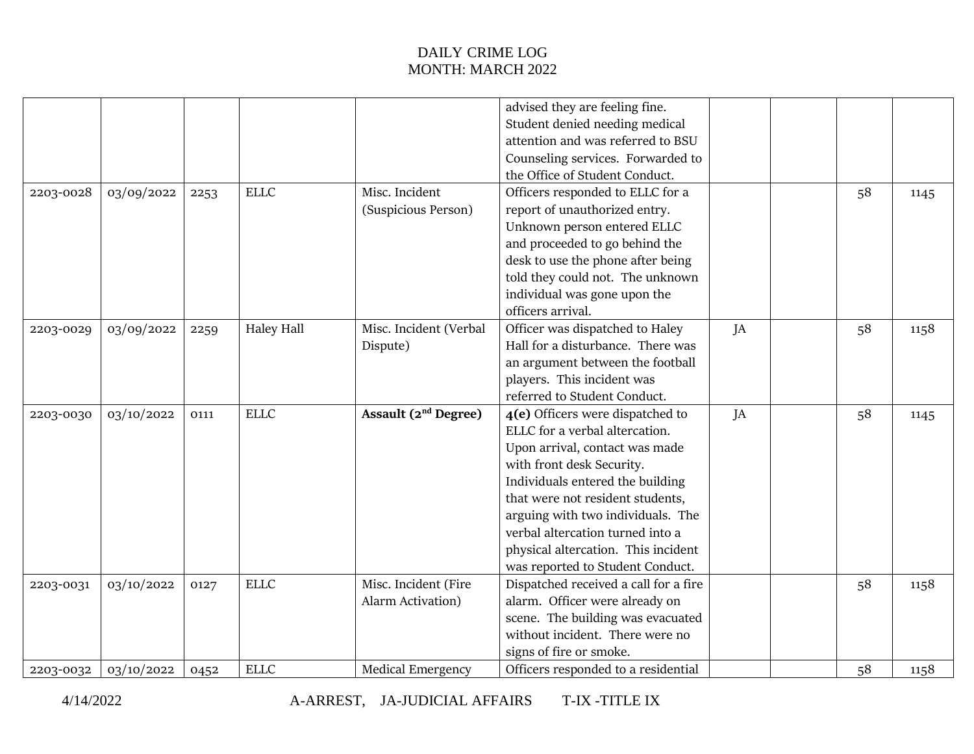|           |            |      |             |                                        | advised they are feeling fine.        |    |    |      |
|-----------|------------|------|-------------|----------------------------------------|---------------------------------------|----|----|------|
|           |            |      |             |                                        | Student denied needing medical        |    |    |      |
|           |            |      |             |                                        | attention and was referred to BSU     |    |    |      |
|           |            |      |             |                                        | Counseling services. Forwarded to     |    |    |      |
|           |            |      |             |                                        | the Office of Student Conduct.        |    |    |      |
| 2203-0028 | 03/09/2022 | 2253 | <b>ELLC</b> | Misc. Incident                         | Officers responded to ELLC for a      |    | 58 | 1145 |
|           |            |      |             | (Suspicious Person)                    | report of unauthorized entry.         |    |    |      |
|           |            |      |             |                                        | Unknown person entered ELLC           |    |    |      |
|           |            |      |             |                                        | and proceeded to go behind the        |    |    |      |
|           |            |      |             |                                        | desk to use the phone after being     |    |    |      |
|           |            |      |             |                                        | told they could not. The unknown      |    |    |      |
|           |            |      |             |                                        | individual was gone upon the          |    |    |      |
|           |            |      |             |                                        | officers arrival.                     |    |    |      |
| 2203-0029 | 03/09/2022 | 2259 | Haley Hall  | Misc. Incident (Verbal                 | Officer was dispatched to Haley       | JA | 58 | 1158 |
|           |            |      |             | Dispute)                               | Hall for a disturbance. There was     |    |    |      |
|           |            |      |             |                                        | an argument between the football      |    |    |      |
|           |            |      |             |                                        | players. This incident was            |    |    |      |
|           |            |      |             |                                        | referred to Student Conduct.          |    |    |      |
| 2203-0030 | 03/10/2022 | 0111 | <b>ELLC</b> | <b>Assault (2<sup>nd</sup> Degree)</b> | 4(e) Officers were dispatched to      | JA | 58 | 1145 |
|           |            |      |             |                                        | ELLC for a verbal altercation.        |    |    |      |
|           |            |      |             |                                        | Upon arrival, contact was made        |    |    |      |
|           |            |      |             |                                        | with front desk Security.             |    |    |      |
|           |            |      |             |                                        | Individuals entered the building      |    |    |      |
|           |            |      |             |                                        | that were not resident students,      |    |    |      |
|           |            |      |             |                                        | arguing with two individuals. The     |    |    |      |
|           |            |      |             |                                        | verbal altercation turned into a      |    |    |      |
|           |            |      |             |                                        | physical altercation. This incident   |    |    |      |
|           |            |      |             |                                        | was reported to Student Conduct.      |    |    |      |
| 2203-0031 | 03/10/2022 | 0127 | <b>ELLC</b> | Misc. Incident (Fire                   | Dispatched received a call for a fire |    | 58 | 1158 |
|           |            |      |             | Alarm Activation)                      | alarm. Officer were already on        |    |    |      |
|           |            |      |             |                                        | scene. The building was evacuated     |    |    |      |
|           |            |      |             |                                        | without incident. There were no       |    |    |      |
|           |            |      |             |                                        | signs of fire or smoke.               |    |    |      |
| 2203-0032 | 03/10/2022 | 0452 | <b>ELLC</b> | <b>Medical Emergency</b>               | Officers responded to a residential   |    | 58 | 1158 |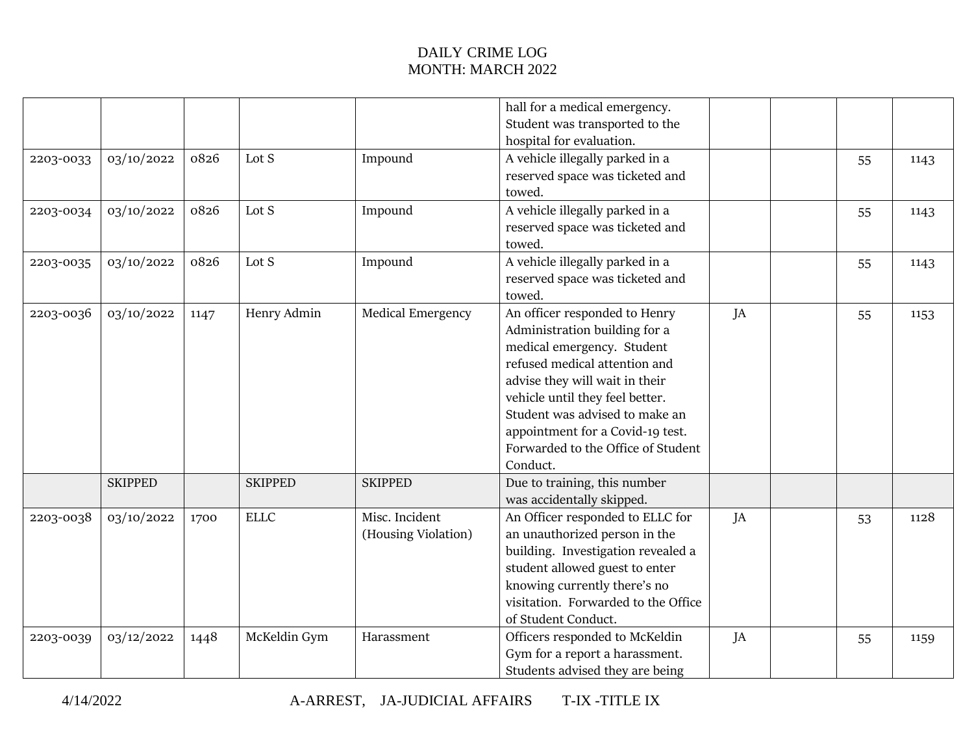|           |                |      |                |                                       | hall for a medical emergency.<br>Student was transported to the                                                                                                                                                                                                                                                            |    |    |      |
|-----------|----------------|------|----------------|---------------------------------------|----------------------------------------------------------------------------------------------------------------------------------------------------------------------------------------------------------------------------------------------------------------------------------------------------------------------------|----|----|------|
| 2203-0033 | 03/10/2022     | 0826 | Lot S          | Impound                               | hospital for evaluation.<br>A vehicle illegally parked in a<br>reserved space was ticketed and<br>towed.                                                                                                                                                                                                                   |    | 55 | 1143 |
| 2203-0034 | 03/10/2022     | 0826 | Lot S          | Impound                               | A vehicle illegally parked in a<br>reserved space was ticketed and<br>towed.                                                                                                                                                                                                                                               |    | 55 | 1143 |
| 2203-0035 | 03/10/2022     | 0826 | Lot S          | Impound                               | A vehicle illegally parked in a<br>reserved space was ticketed and<br>towed.                                                                                                                                                                                                                                               |    | 55 | 1143 |
| 2203-0036 | 03/10/2022     | 1147 | Henry Admin    | <b>Medical Emergency</b>              | An officer responded to Henry<br>Administration building for a<br>medical emergency. Student<br>refused medical attention and<br>advise they will wait in their<br>vehicle until they feel better.<br>Student was advised to make an<br>appointment for a Covid-19 test.<br>Forwarded to the Office of Student<br>Conduct. | JA | 55 | 1153 |
|           | <b>SKIPPED</b> |      | <b>SKIPPED</b> | <b>SKIPPED</b>                        | Due to training, this number<br>was accidentally skipped.                                                                                                                                                                                                                                                                  |    |    |      |
| 2203-0038 | 03/10/2022     | 1700 | <b>ELLC</b>    | Misc. Incident<br>(Housing Violation) | An Officer responded to ELLC for<br>an unauthorized person in the<br>building. Investigation revealed a<br>student allowed guest to enter<br>knowing currently there's no<br>visitation. Forwarded to the Office<br>of Student Conduct.                                                                                    | JA | 53 | 1128 |
| 2203-0039 | 03/12/2022     | 1448 | McKeldin Gym   | Harassment                            | Officers responded to McKeldin<br>Gym for a report a harassment.<br>Students advised they are being                                                                                                                                                                                                                        | JA | 55 | 1159 |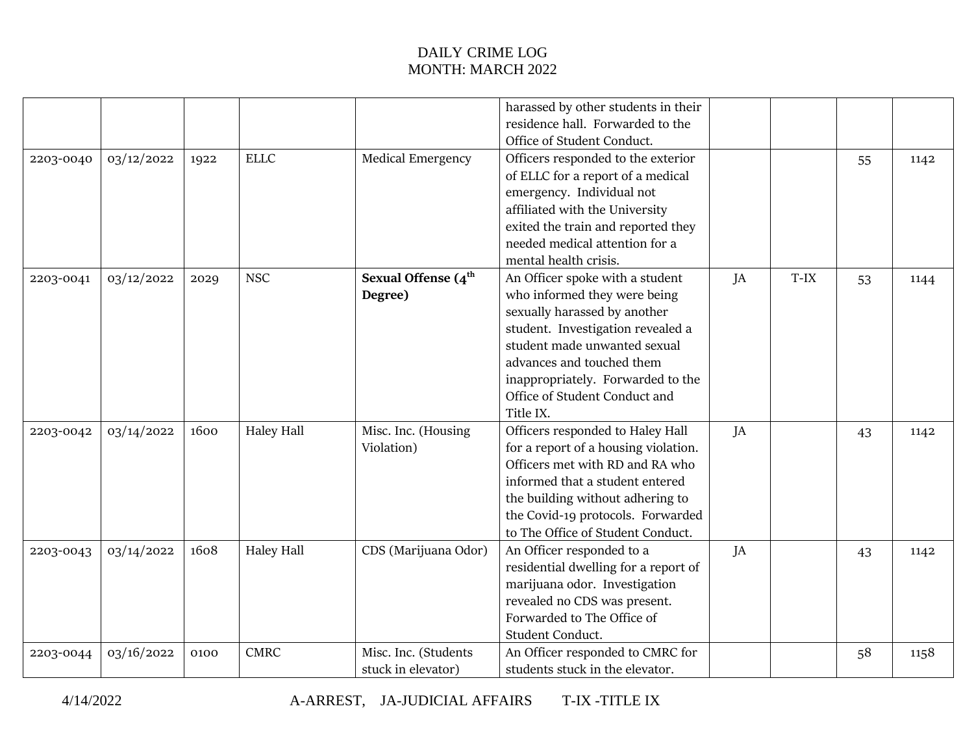|           |            |      |                   |                                  | harassed by other students in their  |    |        |    |      |
|-----------|------------|------|-------------------|----------------------------------|--------------------------------------|----|--------|----|------|
|           |            |      |                   |                                  | residence hall. Forwarded to the     |    |        |    |      |
|           |            |      |                   |                                  | Office of Student Conduct.           |    |        |    |      |
| 2203-0040 | 03/12/2022 | 1922 | <b>ELLC</b>       | <b>Medical Emergency</b>         | Officers responded to the exterior   |    |        | 55 | 1142 |
|           |            |      |                   |                                  | of ELLC for a report of a medical    |    |        |    |      |
|           |            |      |                   |                                  | emergency. Individual not            |    |        |    |      |
|           |            |      |                   |                                  | affiliated with the University       |    |        |    |      |
|           |            |      |                   |                                  | exited the train and reported they   |    |        |    |      |
|           |            |      |                   |                                  | needed medical attention for a       |    |        |    |      |
|           |            |      |                   |                                  | mental health crisis.                |    |        |    |      |
| 2203-0041 | 03/12/2022 | 2029 | <b>NSC</b>        | Sexual Offense $(4^{\text{th}})$ | An Officer spoke with a student      | JA | $T-IX$ | 53 | 1144 |
|           |            |      |                   | Degree)                          | who informed they were being         |    |        |    |      |
|           |            |      |                   |                                  | sexually harassed by another         |    |        |    |      |
|           |            |      |                   |                                  | student. Investigation revealed a    |    |        |    |      |
|           |            |      |                   |                                  | student made unwanted sexual         |    |        |    |      |
|           |            |      |                   |                                  | advances and touched them            |    |        |    |      |
|           |            |      |                   |                                  | inappropriately. Forwarded to the    |    |        |    |      |
|           |            |      |                   |                                  | Office of Student Conduct and        |    |        |    |      |
|           |            |      |                   |                                  | Title IX.                            |    |        |    |      |
| 2203-0042 | 03/14/2022 | 1600 | <b>Haley Hall</b> | Misc. Inc. (Housing              | Officers responded to Haley Hall     | JA |        | 43 | 1142 |
|           |            |      |                   | Violation)                       | for a report of a housing violation. |    |        |    |      |
|           |            |      |                   |                                  | Officers met with RD and RA who      |    |        |    |      |
|           |            |      |                   |                                  | informed that a student entered      |    |        |    |      |
|           |            |      |                   |                                  | the building without adhering to     |    |        |    |      |
|           |            |      |                   |                                  | the Covid-19 protocols. Forwarded    |    |        |    |      |
|           |            |      |                   |                                  | to The Office of Student Conduct.    |    |        |    |      |
| 2203-0043 | 03/14/2022 | 1608 | <b>Haley Hall</b> | CDS (Marijuana Odor)             | An Officer responded to a            | JA |        | 43 | 1142 |
|           |            |      |                   |                                  | residential dwelling for a report of |    |        |    |      |
|           |            |      |                   |                                  | marijuana odor. Investigation        |    |        |    |      |
|           |            |      |                   |                                  | revealed no CDS was present.         |    |        |    |      |
|           |            |      |                   |                                  | Forwarded to The Office of           |    |        |    |      |
|           |            |      |                   |                                  | Student Conduct.                     |    |        |    |      |
| 2203-0044 | 03/16/2022 | 0100 | <b>CMRC</b>       | Misc. Inc. (Students             | An Officer responded to CMRC for     |    |        | 58 | 1158 |
|           |            |      |                   | stuck in elevator)               | students stuck in the elevator.      |    |        |    |      |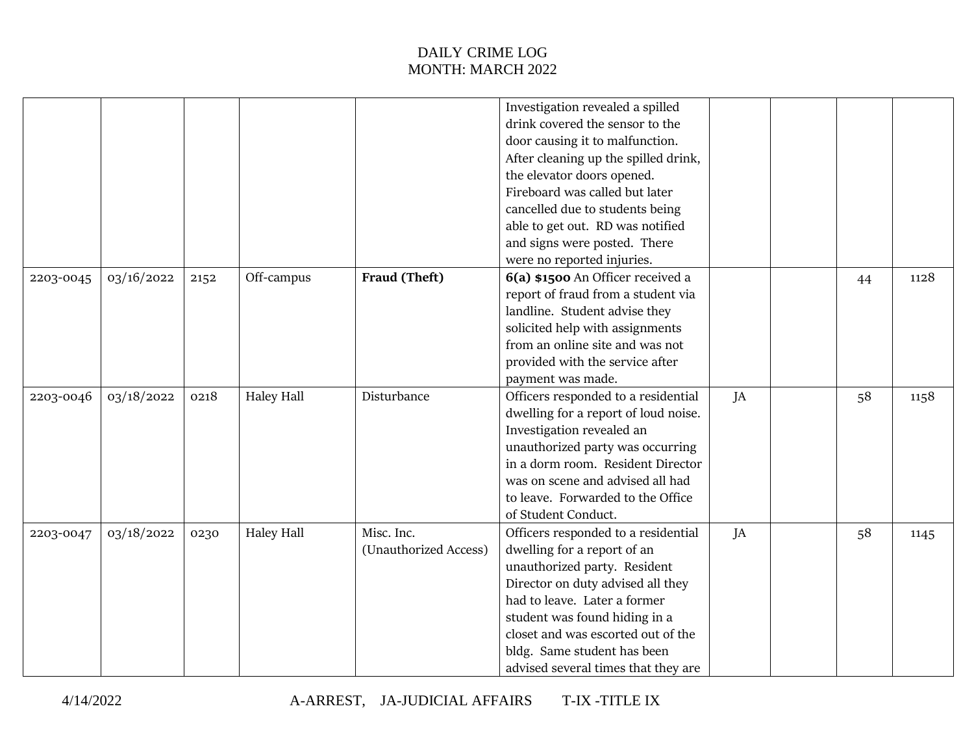|           |            |      |                   |                       | Investigation revealed a spilled     |    |    |      |
|-----------|------------|------|-------------------|-----------------------|--------------------------------------|----|----|------|
|           |            |      |                   |                       | drink covered the sensor to the      |    |    |      |
|           |            |      |                   |                       | door causing it to malfunction.      |    |    |      |
|           |            |      |                   |                       | After cleaning up the spilled drink, |    |    |      |
|           |            |      |                   |                       | the elevator doors opened.           |    |    |      |
|           |            |      |                   |                       | Fireboard was called but later       |    |    |      |
|           |            |      |                   |                       | cancelled due to students being      |    |    |      |
|           |            |      |                   |                       | able to get out. RD was notified     |    |    |      |
|           |            |      |                   |                       | and signs were posted. There         |    |    |      |
|           |            |      |                   |                       | were no reported injuries.           |    |    |      |
|           | 03/16/2022 |      | Off-campus        | Fraud (Theft)         | 6(a) \$1500 An Officer received a    |    |    | 1128 |
| 2203-0045 |            | 2152 |                   |                       | report of fraud from a student via   |    | 44 |      |
|           |            |      |                   |                       |                                      |    |    |      |
|           |            |      |                   |                       | landline. Student advise they        |    |    |      |
|           |            |      |                   |                       | solicited help with assignments      |    |    |      |
|           |            |      |                   |                       | from an online site and was not      |    |    |      |
|           |            |      |                   |                       | provided with the service after      |    |    |      |
|           |            |      |                   |                       | payment was made.                    |    |    |      |
| 2203-0046 | 03/18/2022 | 0218 | <b>Haley Hall</b> | Disturbance           | Officers responded to a residential  | JA | 58 | 1158 |
|           |            |      |                   |                       | dwelling for a report of loud noise. |    |    |      |
|           |            |      |                   |                       | Investigation revealed an            |    |    |      |
|           |            |      |                   |                       | unauthorized party was occurring     |    |    |      |
|           |            |      |                   |                       | in a dorm room. Resident Director    |    |    |      |
|           |            |      |                   |                       | was on scene and advised all had     |    |    |      |
|           |            |      |                   |                       | to leave. Forwarded to the Office    |    |    |      |
|           |            |      |                   |                       | of Student Conduct.                  |    |    |      |
| 2203-0047 | 03/18/2022 | 0230 | Haley Hall        | Misc. Inc.            | Officers responded to a residential  | JA | 58 | 1145 |
|           |            |      |                   | (Unauthorized Access) | dwelling for a report of an          |    |    |      |
|           |            |      |                   |                       | unauthorized party. Resident         |    |    |      |
|           |            |      |                   |                       | Director on duty advised all they    |    |    |      |
|           |            |      |                   |                       | had to leave. Later a former         |    |    |      |
|           |            |      |                   |                       | student was found hiding in a        |    |    |      |
|           |            |      |                   |                       | closet and was escorted out of the   |    |    |      |
|           |            |      |                   |                       | bldg. Same student has been          |    |    |      |
|           |            |      |                   |                       | advised several times that they are  |    |    |      |
|           |            |      |                   |                       |                                      |    |    |      |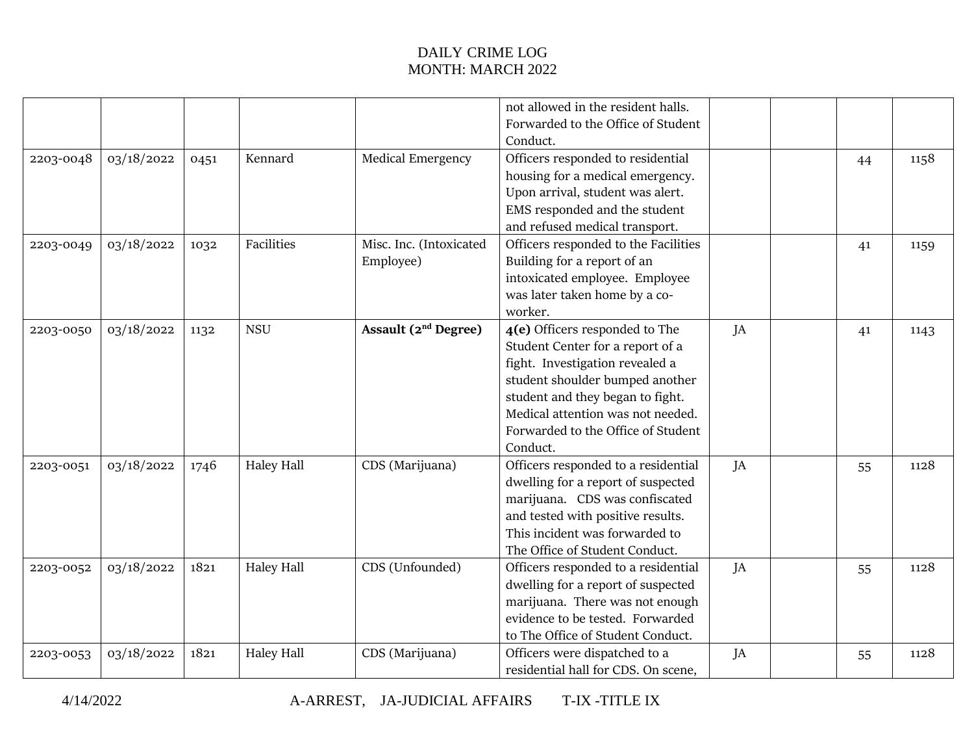|           |            |      |                   |                          | not allowed in the resident halls.   |    |    |      |
|-----------|------------|------|-------------------|--------------------------|--------------------------------------|----|----|------|
|           |            |      |                   |                          | Forwarded to the Office of Student   |    |    |      |
|           |            |      |                   |                          | Conduct.                             |    |    |      |
| 2203-0048 | 03/18/2022 | 0451 | Kennard           | <b>Medical Emergency</b> | Officers responded to residential    |    | 44 | 1158 |
|           |            |      |                   |                          | housing for a medical emergency.     |    |    |      |
|           |            |      |                   |                          | Upon arrival, student was alert.     |    |    |      |
|           |            |      |                   |                          | EMS responded and the student        |    |    |      |
|           |            |      |                   |                          | and refused medical transport.       |    |    |      |
| 2203-0049 | 03/18/2022 | 1032 | Facilities        | Misc. Inc. (Intoxicated  | Officers responded to the Facilities |    | 41 | 1159 |
|           |            |      |                   | Employee)                | Building for a report of an          |    |    |      |
|           |            |      |                   |                          | intoxicated employee. Employee       |    |    |      |
|           |            |      |                   |                          | was later taken home by a co-        |    |    |      |
|           |            |      |                   |                          | worker.                              |    |    |      |
| 2203-0050 | 03/18/2022 | 1132 | <b>NSU</b>        | Assault $(2nd$ Degree)   | 4(e) Officers responded to The       | JA | 41 | 1143 |
|           |            |      |                   |                          | Student Center for a report of a     |    |    |      |
|           |            |      |                   |                          | fight. Investigation revealed a      |    |    |      |
|           |            |      |                   |                          | student shoulder bumped another      |    |    |      |
|           |            |      |                   |                          | student and they began to fight.     |    |    |      |
|           |            |      |                   |                          | Medical attention was not needed.    |    |    |      |
|           |            |      |                   |                          | Forwarded to the Office of Student   |    |    |      |
|           |            |      |                   |                          | Conduct.                             |    |    |      |
| 2203-0051 | 03/18/2022 | 1746 | <b>Haley Hall</b> | CDS (Marijuana)          | Officers responded to a residential  | JA | 55 | 1128 |
|           |            |      |                   |                          | dwelling for a report of suspected   |    |    |      |
|           |            |      |                   |                          | marijuana. CDS was confiscated       |    |    |      |
|           |            |      |                   |                          | and tested with positive results.    |    |    |      |
|           |            |      |                   |                          | This incident was forwarded to       |    |    |      |
|           |            |      |                   |                          | The Office of Student Conduct.       |    |    |      |
| 2203-0052 | 03/18/2022 | 1821 | Haley Hall        | CDS (Unfounded)          | Officers responded to a residential  | JA | 55 | 1128 |
|           |            |      |                   |                          | dwelling for a report of suspected   |    |    |      |
|           |            |      |                   |                          | marijuana. There was not enough      |    |    |      |
|           |            |      |                   |                          | evidence to be tested. Forwarded     |    |    |      |
|           |            |      |                   |                          | to The Office of Student Conduct.    |    |    |      |
| 2203-0053 | 03/18/2022 | 1821 | <b>Haley Hall</b> | CDS (Marijuana)          | Officers were dispatched to a        | JA | 55 | 1128 |
|           |            |      |                   |                          | residential hall for CDS. On scene,  |    |    |      |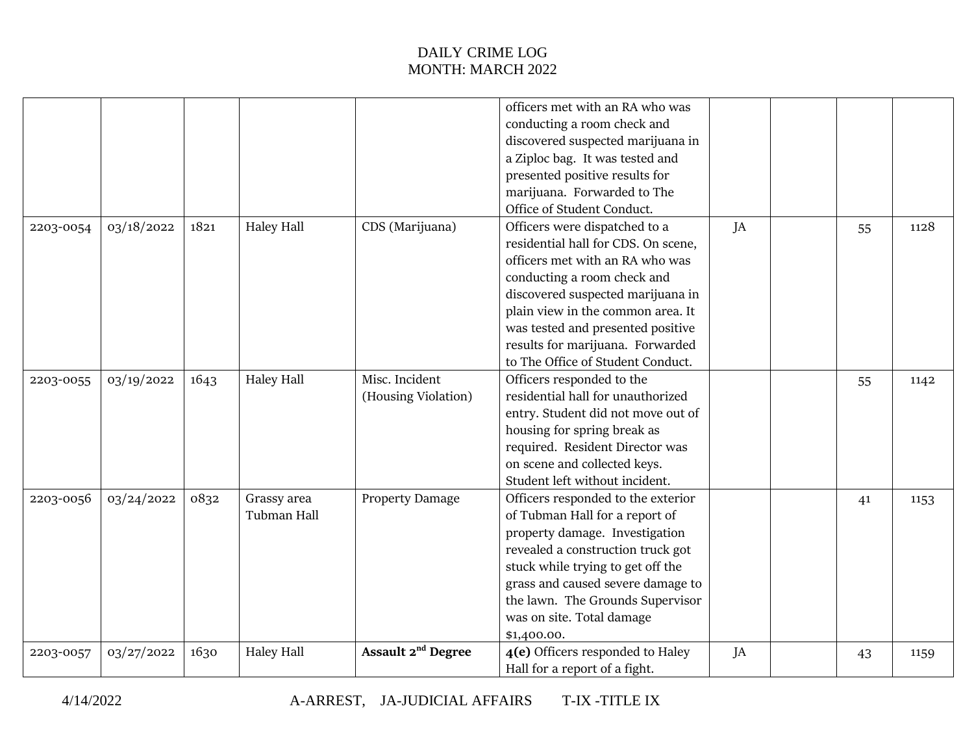|           |            |      |                   |                                | officers met with an RA who was     |    |    |      |
|-----------|------------|------|-------------------|--------------------------------|-------------------------------------|----|----|------|
|           |            |      |                   |                                | conducting a room check and         |    |    |      |
|           |            |      |                   |                                | discovered suspected marijuana in   |    |    |      |
|           |            |      |                   |                                | a Ziploc bag. It was tested and     |    |    |      |
|           |            |      |                   |                                | presented positive results for      |    |    |      |
|           |            |      |                   |                                | marijuana. Forwarded to The         |    |    |      |
|           |            |      |                   |                                | Office of Student Conduct.          |    |    |      |
| 2203-0054 | 03/18/2022 | 1821 | <b>Haley Hall</b> | CDS (Marijuana)                | Officers were dispatched to a       | JA | 55 | 1128 |
|           |            |      |                   |                                | residential hall for CDS. On scene, |    |    |      |
|           |            |      |                   |                                | officers met with an RA who was     |    |    |      |
|           |            |      |                   |                                | conducting a room check and         |    |    |      |
|           |            |      |                   |                                | discovered suspected marijuana in   |    |    |      |
|           |            |      |                   |                                | plain view in the common area. It   |    |    |      |
|           |            |      |                   |                                | was tested and presented positive   |    |    |      |
|           |            |      |                   |                                | results for marijuana. Forwarded    |    |    |      |
|           |            |      |                   |                                | to The Office of Student Conduct.   |    |    |      |
| 2203-0055 | 03/19/2022 | 1643 | Haley Hall        | Misc. Incident                 | Officers responded to the           |    | 55 | 1142 |
|           |            |      |                   | (Housing Violation)            | residential hall for unauthorized   |    |    |      |
|           |            |      |                   |                                | entry. Student did not move out of  |    |    |      |
|           |            |      |                   |                                | housing for spring break as         |    |    |      |
|           |            |      |                   |                                | required. Resident Director was     |    |    |      |
|           |            |      |                   |                                | on scene and collected keys.        |    |    |      |
|           |            |      |                   |                                | Student left without incident.      |    |    |      |
| 2203-0056 | 03/24/2022 | 0832 | Grassy area       | <b>Property Damage</b>         | Officers responded to the exterior  |    | 41 | 1153 |
|           |            |      | Tubman Hall       |                                | of Tubman Hall for a report of      |    |    |      |
|           |            |      |                   |                                | property damage. Investigation      |    |    |      |
|           |            |      |                   |                                | revealed a construction truck got   |    |    |      |
|           |            |      |                   |                                | stuck while trying to get off the   |    |    |      |
|           |            |      |                   |                                | grass and caused severe damage to   |    |    |      |
|           |            |      |                   |                                | the lawn. The Grounds Supervisor    |    |    |      |
|           |            |      |                   |                                | was on site. Total damage           |    |    |      |
|           |            |      |                   |                                | \$1,400.00.                         |    |    |      |
| 2203-0057 | 03/27/2022 | 1630 | <b>Haley Hall</b> | Assault 2 <sup>nd</sup> Degree | 4(e) Officers responded to Haley    | JA | 43 | 1159 |
|           |            |      |                   |                                | Hall for a report of a fight.       |    |    |      |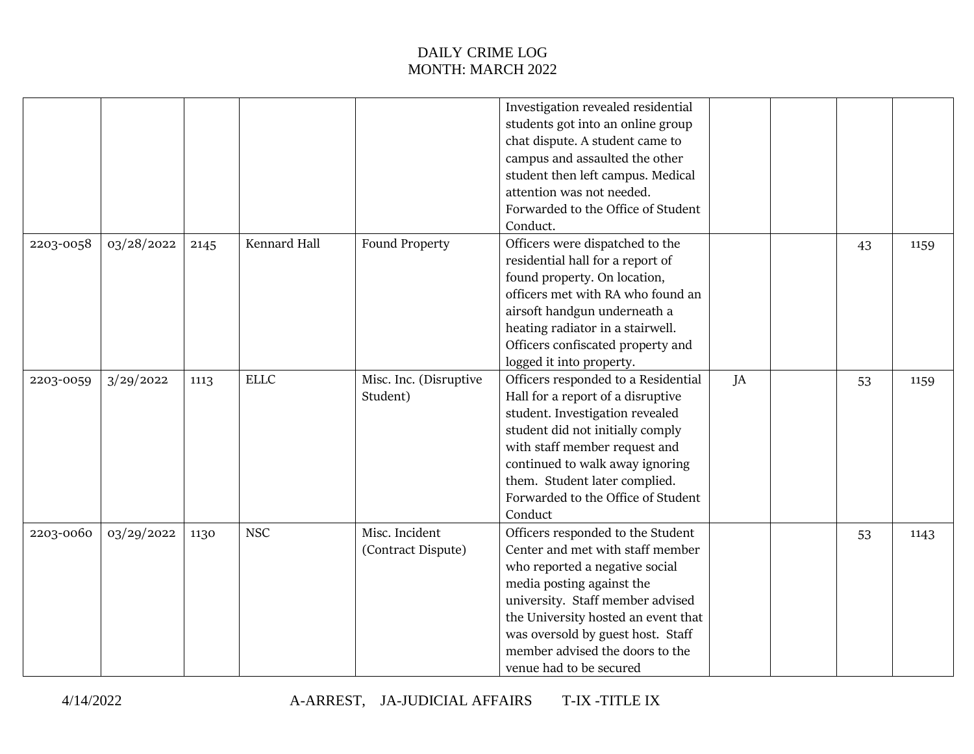|           |            |      |              |                        | Investigation revealed residential  |    |    |      |
|-----------|------------|------|--------------|------------------------|-------------------------------------|----|----|------|
|           |            |      |              |                        | students got into an online group   |    |    |      |
|           |            |      |              |                        | chat dispute. A student came to     |    |    |      |
|           |            |      |              |                        | campus and assaulted the other      |    |    |      |
|           |            |      |              |                        | student then left campus. Medical   |    |    |      |
|           |            |      |              |                        | attention was not needed.           |    |    |      |
|           |            |      |              |                        | Forwarded to the Office of Student  |    |    |      |
|           |            |      |              |                        | Conduct.                            |    |    |      |
| 2203-0058 | 03/28/2022 | 2145 | Kennard Hall | Found Property         | Officers were dispatched to the     |    | 43 | 1159 |
|           |            |      |              |                        | residential hall for a report of    |    |    |      |
|           |            |      |              |                        | found property. On location,        |    |    |      |
|           |            |      |              |                        | officers met with RA who found an   |    |    |      |
|           |            |      |              |                        | airsoft handgun underneath a        |    |    |      |
|           |            |      |              |                        | heating radiator in a stairwell.    |    |    |      |
|           |            |      |              |                        | Officers confiscated property and   |    |    |      |
|           |            |      |              |                        | logged it into property.            |    |    |      |
| 2203-0059 | 3/29/2022  | 1113 | <b>ELLC</b>  | Misc. Inc. (Disruptive | Officers responded to a Residential | JA | 53 | 1159 |
|           |            |      |              | Student)               | Hall for a report of a disruptive   |    |    |      |
|           |            |      |              |                        | student. Investigation revealed     |    |    |      |
|           |            |      |              |                        | student did not initially comply    |    |    |      |
|           |            |      |              |                        | with staff member request and       |    |    |      |
|           |            |      |              |                        | continued to walk away ignoring     |    |    |      |
|           |            |      |              |                        | them. Student later complied.       |    |    |      |
|           |            |      |              |                        | Forwarded to the Office of Student  |    |    |      |
|           |            |      |              |                        | Conduct                             |    |    |      |
| 2203-0060 | 03/29/2022 | 1130 | <b>NSC</b>   | Misc. Incident         | Officers responded to the Student   |    | 53 | 1143 |
|           |            |      |              | (Contract Dispute)     | Center and met with staff member    |    |    |      |
|           |            |      |              |                        | who reported a negative social      |    |    |      |
|           |            |      |              |                        | media posting against the           |    |    |      |
|           |            |      |              |                        | university. Staff member advised    |    |    |      |
|           |            |      |              |                        | the University hosted an event that |    |    |      |
|           |            |      |              |                        | was oversold by guest host. Staff   |    |    |      |
|           |            |      |              |                        | member advised the doors to the     |    |    |      |
|           |            |      |              |                        | venue had to be secured             |    |    |      |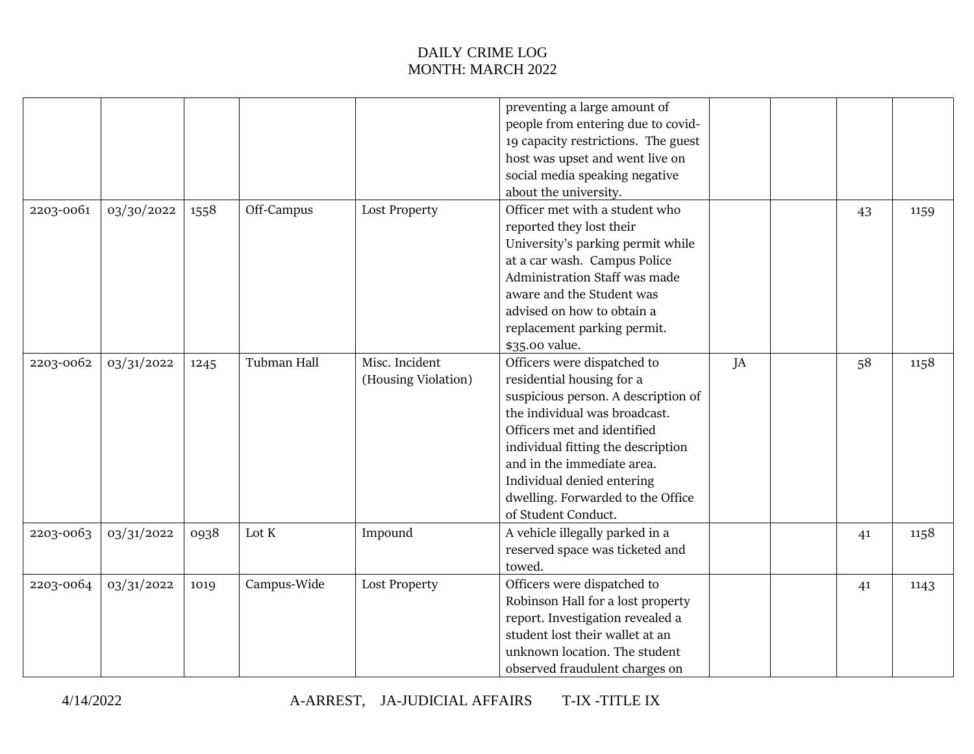|           |            |      |             |                      | preventing a large amount of        |    |    |      |
|-----------|------------|------|-------------|----------------------|-------------------------------------|----|----|------|
|           |            |      |             |                      | people from entering due to covid-  |    |    |      |
|           |            |      |             |                      | 19 capacity restrictions. The guest |    |    |      |
|           |            |      |             |                      | host was upset and went live on     |    |    |      |
|           |            |      |             |                      | social media speaking negative      |    |    |      |
|           |            |      |             |                      | about the university.               |    |    |      |
| 2203-0061 | 03/30/2022 | 1558 | Off-Campus  | <b>Lost Property</b> | Officer met with a student who      |    | 43 | 1159 |
|           |            |      |             |                      | reported they lost their            |    |    |      |
|           |            |      |             |                      | University's parking permit while   |    |    |      |
|           |            |      |             |                      | at a car wash. Campus Police        |    |    |      |
|           |            |      |             |                      | Administration Staff was made       |    |    |      |
|           |            |      |             |                      | aware and the Student was           |    |    |      |
|           |            |      |             |                      | advised on how to obtain a          |    |    |      |
|           |            |      |             |                      | replacement parking permit.         |    |    |      |
|           |            |      |             |                      | \$35.00 value.                      |    |    |      |
| 2203-0062 | 03/31/2022 | 1245 | Tubman Hall | Misc. Incident       | Officers were dispatched to         | JA | 58 | 1158 |
|           |            |      |             | (Housing Violation)  | residential housing for a           |    |    |      |
|           |            |      |             |                      | suspicious person. A description of |    |    |      |
|           |            |      |             |                      | the individual was broadcast.       |    |    |      |
|           |            |      |             |                      | Officers met and identified         |    |    |      |
|           |            |      |             |                      | individual fitting the description  |    |    |      |
|           |            |      |             |                      | and in the immediate area.          |    |    |      |
|           |            |      |             |                      | Individual denied entering          |    |    |      |
|           |            |      |             |                      | dwelling. Forwarded to the Office   |    |    |      |
|           |            |      |             |                      | of Student Conduct.                 |    |    |      |
| 2203-0063 | 03/31/2022 | 0938 | Lot K       | Impound              | A vehicle illegally parked in a     |    | 41 | 1158 |
|           |            |      |             |                      | reserved space was ticketed and     |    |    |      |
|           |            |      |             |                      | towed.                              |    |    |      |
| 2203-0064 | 03/31/2022 | 1019 | Campus-Wide | <b>Lost Property</b> | Officers were dispatched to         |    |    |      |
|           |            |      |             |                      | Robinson Hall for a lost property   |    | 41 | 1143 |
|           |            |      |             |                      | report. Investigation revealed a    |    |    |      |
|           |            |      |             |                      | student lost their wallet at an     |    |    |      |
|           |            |      |             |                      | unknown location. The student       |    |    |      |
|           |            |      |             |                      | observed fraudulent charges on      |    |    |      |
|           |            |      |             |                      |                                     |    |    |      |